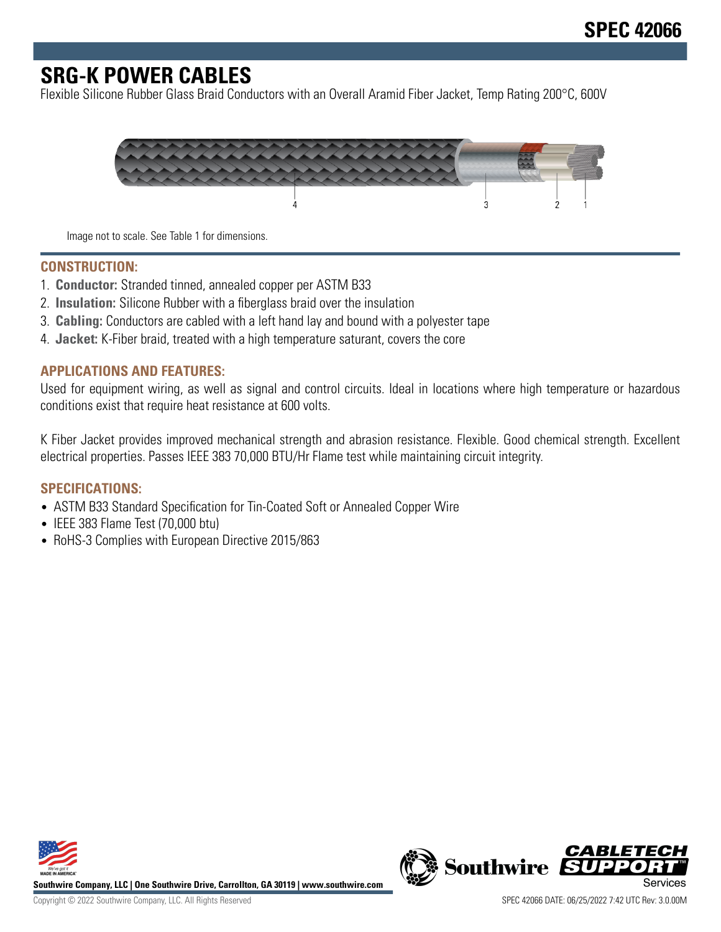# **SRG-K POWER CABLES**

Flexible Silicone Rubber Glass Braid Conductors with an Overall Aramid Fiber Jacket, Temp Rating 200°C, 600V



Image not to scale. See Table 1 for dimensions.

#### **CONSTRUCTION:**

- 1. **Conductor:** Stranded tinned, annealed copper per ASTM B33
- 2. **Insulation:** Silicone Rubber with a fiberglass braid over the insulation
- 3. **Cabling:** Conductors are cabled with a left hand lay and bound with a polyester tape
- 4. **Jacket:** K-Fiber braid, treated with a high temperature saturant, covers the core

#### **APPLICATIONS AND FEATURES:**

Used for equipment wiring, as well as signal and control circuits. Ideal in locations where high temperature or hazardous conditions exist that require heat resistance at 600 volts.

K Fiber Jacket provides improved mechanical strength and abrasion resistance. Flexible. Good chemical strength. Excellent electrical properties. Passes IEEE 383 70,000 BTU/Hr Flame test while maintaining circuit integrity.

#### **SPECIFICATIONS:**

- ASTM B33 Standard Specification for Tin-Coated Soft or Annealed Copper Wire
- IEEE 383 Flame Test (70,000 btu)
- RoHS-3 Complies with European Directive 2015/863



**Southwire Company, LLC | One Southwire Drive, Carrollton, GA 30119 | www.southwire.com**